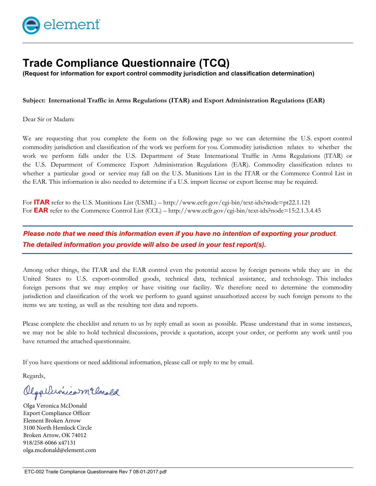

## **Trade Compliance Questionnaire (TCQ)**

(Request for information for export control commodity jurisdiction and classification determination)

**Subject: International Traffic in Arms Regulations (ITAR) and Export Administration Regulations (EAR)**

Dear Sir or Madam:

We are requesting that you complete the form on the following page so we can determine the U.S. export control commodity jurisdiction and classification of the work we perform for you. Commodity jurisdiction relates to whether the work we perform falls under the U.S. Department of State International Traffic in Arms Regulations (ITAR) or the U.S. Department of Commerce Export Administration Regulations (EAR). Commodity classification relates to whether a particular good or service may fall on the U.S. Munitions List in the ITAR or the Commerce Control List in the EAR. This information is also needed to determine if a U.S. import license or export license may be required.

For **ITAR** refer to the U.S. Munitions List (USML) – http://www.ecfr.gov/cgi-bin/text-idx?node=pt22.1.121 For **EAR** refer to the Commerce Control List (CCL) – http://www.ecfr.gov/cgi-bin/text-idx?node=15:2.1.3.4.45

*Please note that we need this information even if you have no intention of exporting your product. The detailed information you provide will also be used in your test report(s).* 

Among other things, the ITAR and the EAR control even the potential access by foreign persons while they are in the United States to U.S. export-controlled goods, technical data, technical assistance, and technology. This includes foreign persons that we may employ or have visiting our facility. We therefore need to determine the commodity jurisdiction and classification of the work we perform to guard against unauthorized access by such foreign persons to the items we are testing, as well as the resulting test data and reports.

Please complete the checklist and return to us by reply email as soon as possible. Please understand that in some instances, we may not be able to hold technical discussions, provide a quotation, accept your order, or perform any work until you have returned the attached questionnaire.

If you have questions or need additional information, please call or reply to me by email.

Regards,

Olgallevincom Clanald

Olga Veronica McDonald Export Compliance Officer Element Broken Arrow 3100 North Hemlock Circle Broken Arrow, OK 74012 918/258-6066 x47131 olga.mcdonald@element.com